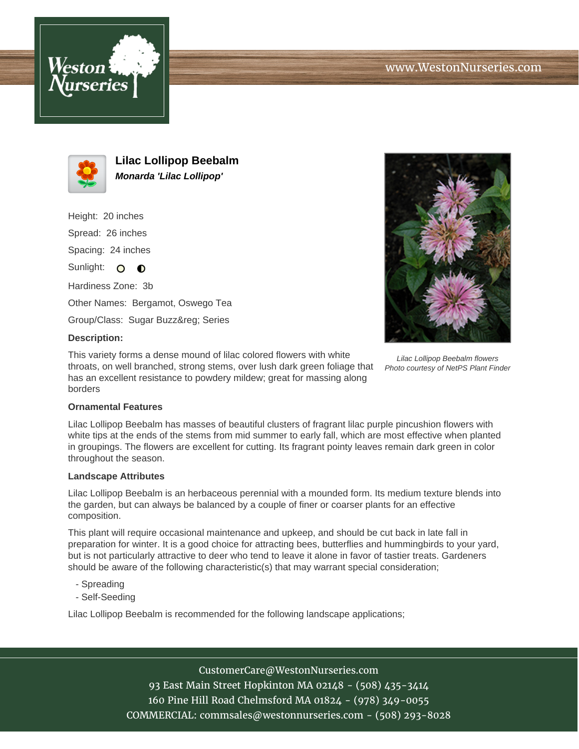



**Lilac Lollipop Beebalm Monarda 'Lilac Lollipop'**

Height: 20 inches Spread: 26 inches Spacing: 24 inches Sunlight:  $\circ$   $\bullet$ 

Hardiness Zone: 3b Other Names: Bergamot, Oswego Tea

Group/Class: Sugar Buzz® Series

## **Description:**

This variety forms a dense mound of lilac colored flowers with white throats, on well branched, strong stems, over lush dark green foliage that has an excellent resistance to powdery mildew; great for massing along borders



Lilac Lollipop Beebalm flowers Photo courtesy of NetPS Plant Finder

## **Ornamental Features**

Lilac Lollipop Beebalm has masses of beautiful clusters of fragrant lilac purple pincushion flowers with white tips at the ends of the stems from mid summer to early fall, which are most effective when planted in groupings. The flowers are excellent for cutting. Its fragrant pointy leaves remain dark green in color throughout the season.

## **Landscape Attributes**

Lilac Lollipop Beebalm is an herbaceous perennial with a mounded form. Its medium texture blends into the garden, but can always be balanced by a couple of finer or coarser plants for an effective composition.

This plant will require occasional maintenance and upkeep, and should be cut back in late fall in preparation for winter. It is a good choice for attracting bees, butterflies and hummingbirds to your yard, but is not particularly attractive to deer who tend to leave it alone in favor of tastier treats. Gardeners should be aware of the following characteristic(s) that may warrant special consideration;

- Spreading
- Self-Seeding

Lilac Lollipop Beebalm is recommended for the following landscape applications;

CustomerCare@WestonNurseries.com

93 East Main Street Hopkinton MA 02148 - (508) 435-3414 160 Pine Hill Road Chelmsford MA 01824 - (978) 349-0055 COMMERCIAL: commsales@westonnurseries.com - (508) 293-8028